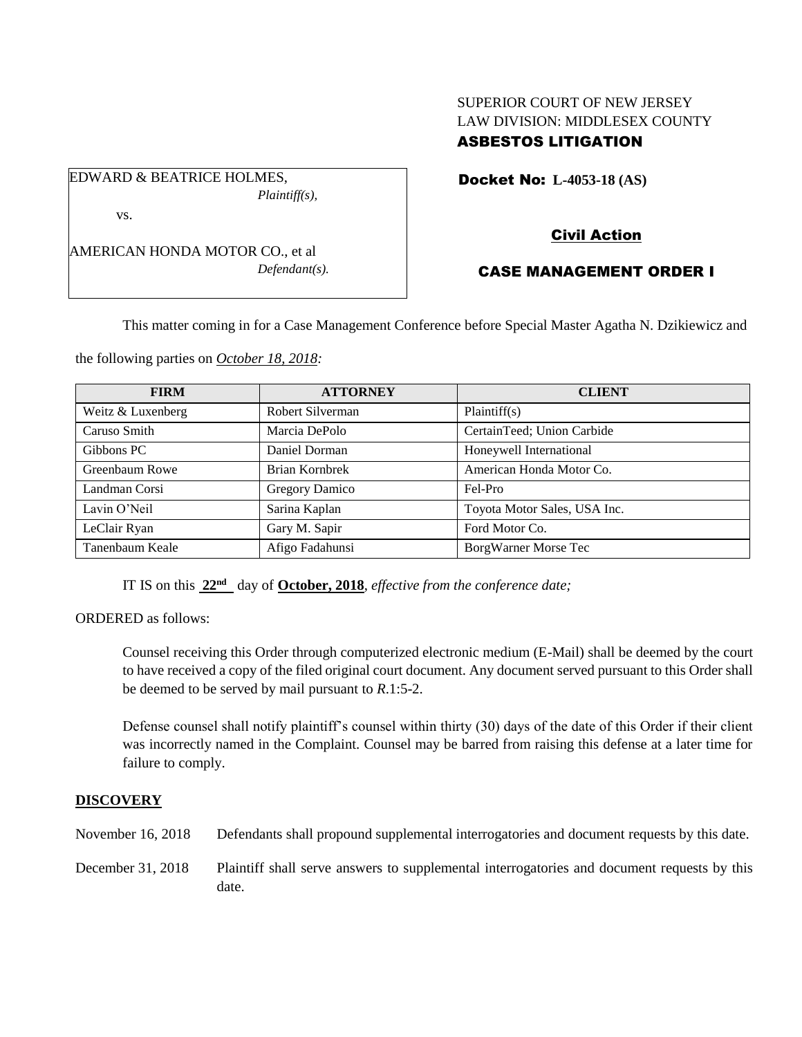# SUPERIOR COURT OF NEW JERSEY LAW DIVISION: MIDDLESEX COUNTY ASBESTOS LITIGATION

Docket No: **L-4053-18 (AS)** 

vs.

EDWARD & BEATRICE HOLMES,

AMERICAN HONDA MOTOR CO., et al *Defendant(s).*

*Plaintiff(s),*

# Civil Action

# CASE MANAGEMENT ORDER I

This matter coming in for a Case Management Conference before Special Master Agatha N. Dzikiewicz and

the following parties on *October 18, 2018:*

| <b>FIRM</b>       | <b>ATTORNEY</b>  | <b>CLIENT</b>                |
|-------------------|------------------|------------------------------|
| Weitz & Luxenberg | Robert Silverman | Plaintiff(s)                 |
| Caruso Smith      | Marcia DePolo    | CertainTeed; Union Carbide   |
| Gibbons PC        | Daniel Dorman    | Honeywell International      |
| Greenbaum Rowe    | Brian Kornbrek   | American Honda Motor Co.     |
| Landman Corsi     | Gregory Damico   | Fel-Pro                      |
| Lavin O'Neil      | Sarina Kaplan    | Toyota Motor Sales, USA Inc. |
| LeClair Ryan      | Gary M. Sapir    | Ford Motor Co.               |
| Tanenbaum Keale   | Afigo Fadahunsi  | <b>BorgWarner Morse Tec</b>  |

IT IS on this **22nd** day of **October, 2018**, *effective from the conference date;*

ORDERED as follows:

Counsel receiving this Order through computerized electronic medium (E-Mail) shall be deemed by the court to have received a copy of the filed original court document. Any document served pursuant to this Order shall be deemed to be served by mail pursuant to *R*.1:5-2.

Defense counsel shall notify plaintiff's counsel within thirty (30) days of the date of this Order if their client was incorrectly named in the Complaint. Counsel may be barred from raising this defense at a later time for failure to comply.

### **DISCOVERY**

November 16, 2018 Defendants shall propound supplemental interrogatories and document requests by this date.

December 31, 2018 Plaintiff shall serve answers to supplemental interrogatories and document requests by this date.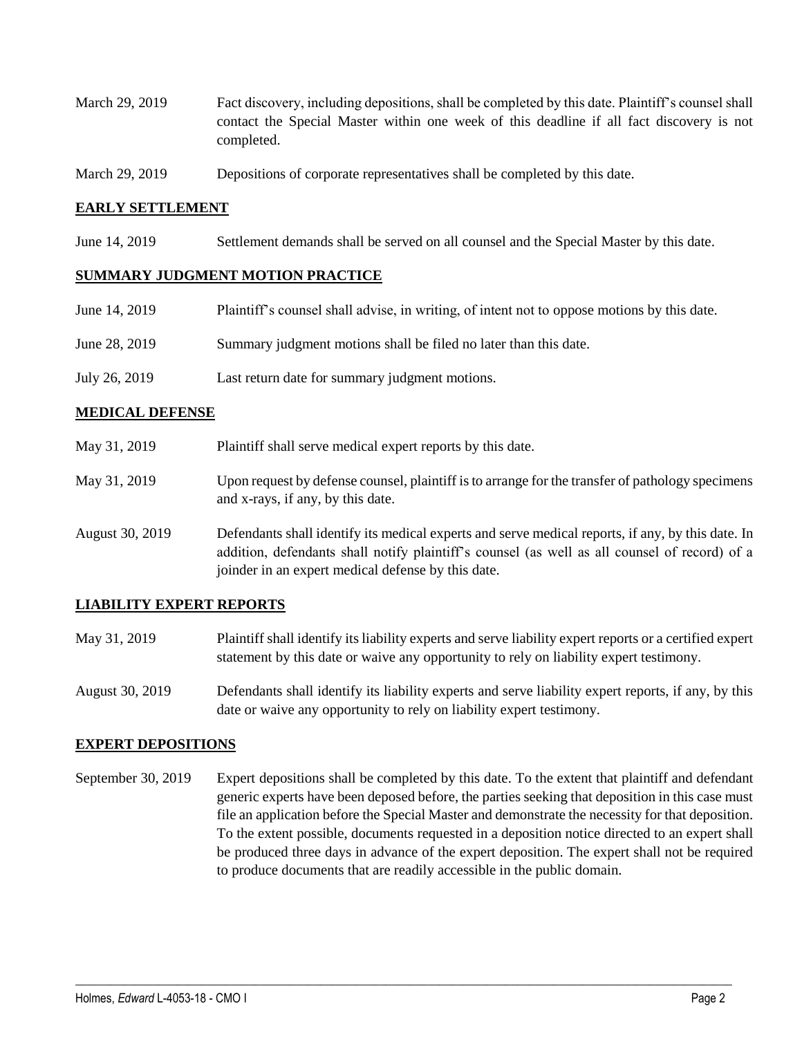- March 29, 2019 Fact discovery, including depositions, shall be completed by this date. Plaintiff's counsel shall contact the Special Master within one week of this deadline if all fact discovery is not completed.
- March 29, 2019 Depositions of corporate representatives shall be completed by this date.

### **EARLY SETTLEMENT**

June 14, 2019 Settlement demands shall be served on all counsel and the Special Master by this date.

#### **SUMMARY JUDGMENT MOTION PRACTICE**

| June 14, 2019 | Plaintiff's counsel shall advise, in writing, of intent not to oppose motions by this date. |
|---------------|---------------------------------------------------------------------------------------------|
| June 28, 2019 | Summary judgment motions shall be filed no later than this date.                            |
| July 26, 2019 | Last return date for summary judgment motions.                                              |

#### **MEDICAL DEFENSE**

- May 31, 2019 Plaintiff shall serve medical expert reports by this date. May 31, 2019 Upon request by defense counsel, plaintiff is to arrange for the transfer of pathology specimens and x-rays, if any, by this date.
- August 30, 2019 Defendants shall identify its medical experts and serve medical reports, if any, by this date. In addition, defendants shall notify plaintiff's counsel (as well as all counsel of record) of a joinder in an expert medical defense by this date.

### **LIABILITY EXPERT REPORTS**

- May 31, 2019 Plaintiff shall identify its liability experts and serve liability expert reports or a certified expert statement by this date or waive any opportunity to rely on liability expert testimony.
- August 30, 2019 Defendants shall identify its liability experts and serve liability expert reports, if any, by this date or waive any opportunity to rely on liability expert testimony.

#### **EXPERT DEPOSITIONS**

September 30, 2019 Expert depositions shall be completed by this date. To the extent that plaintiff and defendant generic experts have been deposed before, the parties seeking that deposition in this case must file an application before the Special Master and demonstrate the necessity for that deposition. To the extent possible, documents requested in a deposition notice directed to an expert shall be produced three days in advance of the expert deposition. The expert shall not be required to produce documents that are readily accessible in the public domain.

 $\_$  ,  $\_$  ,  $\_$  ,  $\_$  ,  $\_$  ,  $\_$  ,  $\_$  ,  $\_$  ,  $\_$  ,  $\_$  ,  $\_$  ,  $\_$  ,  $\_$  ,  $\_$  ,  $\_$  ,  $\_$  ,  $\_$  ,  $\_$  ,  $\_$  ,  $\_$  ,  $\_$  ,  $\_$  ,  $\_$  ,  $\_$  ,  $\_$  ,  $\_$  ,  $\_$  ,  $\_$  ,  $\_$  ,  $\_$  ,  $\_$  ,  $\_$  ,  $\_$  ,  $\_$  ,  $\_$  ,  $\_$  ,  $\_$  ,